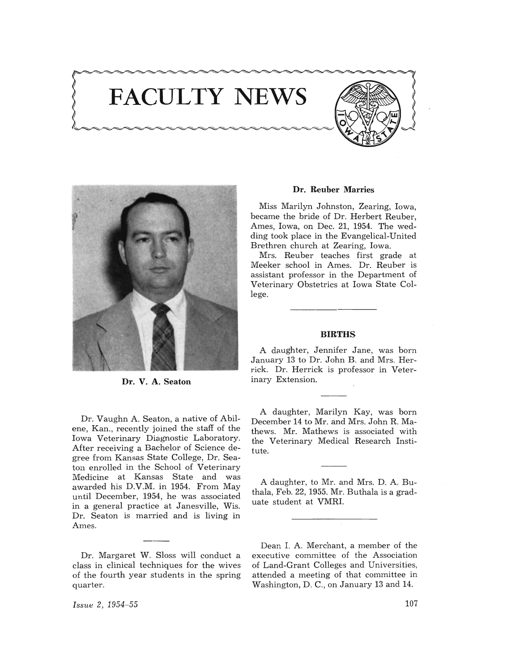





Dr. V. A. Seaton

Dr. Vaughn A. Seaton, a native of Abilene, Kan., recently joined the staff of the Iowa Veterinary Diagnostic Laboratory. After receiving a Bachelor of Science degree from Kansas State College, Dr. Seaton enrolled in the School of Veterinary Medicine at Kansas State and was awarded his D.V.M. in 1954. From May until December, 1954, he was associated in a general practice at Janesville, Wis. Dr. Seaton is married and is living in Ames.

Dr. Margaret W. Sloss will conduct a class in clinical techniques for the wives of the fourth year students in the spring quarter.

## Dr. Reuber Marries

Miss Marilyn Johnston, Zearing, Iowa, became the bride of Dr. Herbert Reuber, Ames, Iowa, on Dec. 21, 1954. The wedding took place in the Evangelical-United Brethren church at Zearing, Iowa.

Mrs. Reuber teaches first grade at Meeker school in Ames. Dr. Reuber is assistant professor in the Department of Veterinary Obstetrics at Iowa State College.

## **BIRTHS**

A daughter, Jennifer Jane, was born January 13 to Dr. John B. and Mrs. Herrick. Dr. Herrick is professor in Veterinary Extension.

A daughter, Marilyn Kay, was born December 14 to Mr. and Mrs. John R. Mathews. Mr. Mathews is associated with the Veterinary Medical Research Institute.

A daughter, to Mr. and Mrs. D. A. Buthala, Feb. 22, 1955. Mr. Buthala is a graduate student at VMRI.

Dean I. A. Merchant, a member of the executive committee of the Association of Land-Grant Colleges and Universities, attended a meeting of that committee in Washington, D. C., on January 13 and 14.

*Issue 2, 1954-55*